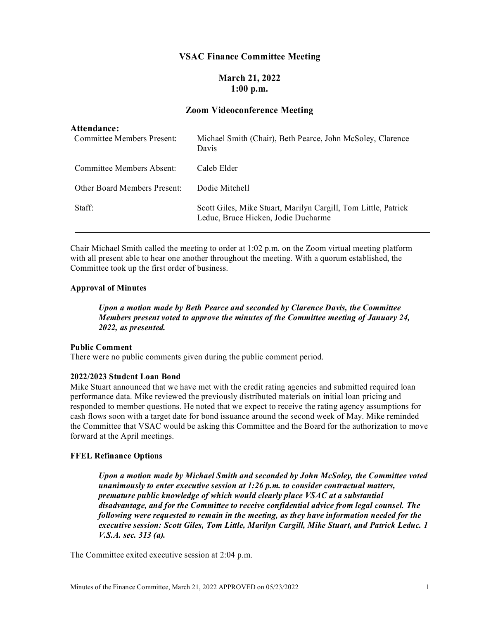## **VSAC Finance Committee Meeting**

# **March 21, 2022 1:00 p.m.**

## **Zoom Videoconference Meeting**

### **Attendance:**

| <b>Committee Members Present:</b>   | Michael Smith (Chair), Beth Pearce, John McSoley, Clarence<br>Davis                                   |
|-------------------------------------|-------------------------------------------------------------------------------------------------------|
| Committee Members Absent:           | Caleb Elder                                                                                           |
| <b>Other Board Members Present:</b> | Dodie Mitchell                                                                                        |
| Staff:                              | Scott Giles, Mike Stuart, Marilyn Cargill, Tom Little, Patrick<br>Leduc, Bruce Hicken, Jodie Ducharme |

Chair Michael Smith called the meeting to order at 1:02 p.m. on the Zoom virtual meeting platform with all present able to hear one another throughout the meeting. With a quorum established, the Committee took up the first order of business.

#### **Approval of Minutes**

*Upon a motion made by Beth Pearce and seconded by Clarence Davis, the Committee Members present voted to approve the minutes of the Committee meeting of January 24, 2022, as presented.*

#### **Public Comment**

There were no public comments given during the public comment period.

### **2022/2023 Student Loan Bond**

Mike Stuart announced that we have met with the credit rating agencies and submitted required loan performance data. Mike reviewed the previously distributed materials on initial loan pricing and responded to member questions. He noted that we expect to receive the rating agency assumptions for cash flows soon with a target date for bond issuance around the second week of May. Mike reminded the Committee that VSAC would be asking this Committee and the Board for the authorization to move forward at the April meetings.

### **FFEL Refinance Options**

*Upon a motion made by Michael Smith and seconded by John McSoley, the Committee voted unanimously to enter executive session at 1:26 p.m. to consider contractual matters, premature public knowledge of which would clearly place VSAC at a substantial disadvantage, and for the Committee to receive confidential advice from legal counsel. The following were requested to remain in the meeting, as they have information needed for the executive session: Scott Giles, Tom Little, Marilyn Cargill, Mike Stuart, and Patrick Leduc. 1 V.S.A. sec. 313 (a).*

The Committee exited executive session at 2:04 p.m.